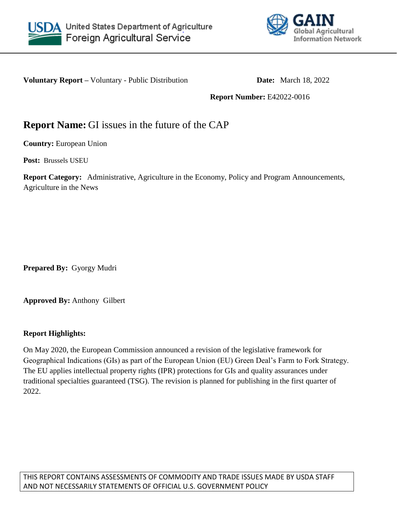



**Voluntary Report** – Voluntary - Public Distribution **Date:** March 18, 2022

**Report Number:** E42022-0016

# **Report Name:** GI issues in the future of the CAP

**Country:** European Union

**Post:** Brussels USEU

**Report Category:** Administrative, Agriculture in the Economy, Policy and Program Announcements, Agriculture in the News

**Prepared By:** Gyorgy Mudri

**Approved By:** Anthony Gilbert

#### **Report Highlights:**

On May 2020, the European Commission announced a revision of the legislative framework for Geographical Indications (GIs) as part of the European Union (EU) Green Deal's Farm to Fork Strategy. The EU applies intellectual property rights (IPR) protections for GIs and quality assurances under traditional specialties guaranteed (TSG). The revision is planned for publishing in the first quarter of 2022.

THIS REPORT CONTAINS ASSESSMENTS OF COMMODITY AND TRADE ISSUES MADE BY USDA STAFF AND NOT NECESSARILY STATEMENTS OF OFFICIAL U.S. GOVERNMENT POLICY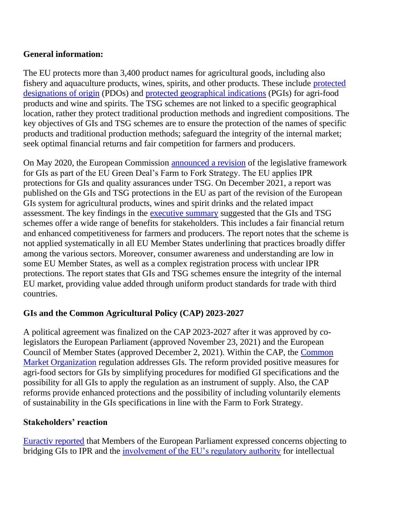### **General information:**

The EU protects more than 3,400 product names for agricultural goods, including also fishery and aquaculture products, wines, spirits, and other products. These include [protected](https://ec.europa.eu/info/food-farming-fisheries/food-safety-and-quality/certification/quality-labels/quality-schemes-explained_en#pdo)  [designations of origin](https://ec.europa.eu/info/food-farming-fisheries/food-safety-and-quality/certification/quality-labels/quality-schemes-explained_en#pdo) (PDOs) and [protected geographical indications](https://ec.europa.eu/info/food-farming-fisheries/food-safety-and-quality/certification/quality-labels/quality-schemes-explained_en#pgi) (PGIs) for agri-food products and wine and spirits. The TSG schemes are not linked to a specific geographical location, rather they protect traditional production methods and ingredient compositions. The key objectives of GIs and TSG schemes are to ensure the protection of the names of specific products and traditional production methods; safeguard the integrity of the internal market; seek optimal financial returns and fair competition for farmers and producers.

On May 2020, the European Commission [announced a revision](https://ec.europa.eu/info/law/better-regulation/have-your-say/initiatives/12664-Food-&-drink-EU-geographical-indications-scheme-revision-_en) of the legislative framework for GIs as part of the EU Green Deal's Farm to Fork Strategy. The EU applies IPR protections for GIs and quality assurances under TSG. On December 2021, a report was published on the GIs and TSG protections in the EU as part of the revision of the European GIs system for agricultural products, wines and spirit drinks and the related impact assessment. The key findings in the [executive summary](https://eur-lex.europa.eu/legal-content/EN/TXT/HTML/?uri=CELEX:52021SC0428&from=EN) suggested that the GIs and TSG schemes offer a wide range of benefits for stakeholders. This includes a fair financial return and enhanced competitiveness for farmers and producers. The report notes that the scheme is not applied systematically in all EU Member States underlining that practices broadly differ among the various sectors. Moreover, consumer awareness and understanding are low in some EU Member States, as well as a complex registration process with unclear IPR protections. The report states that GIs and TSG schemes ensure the integrity of the internal EU market, providing value added through uniform product standards for trade with third countries.

## **GIs and the Common Agricultural Policy (CAP) 2023-2027**

A political agreement was finalized on the CAP 2023-2027 after it was approved by colegislators the European Parliament (approved November 23, 2021) and the European Council of Member States (approved December 2, 2021). Within the CAP, the [Common](https://eur-lex.europa.eu/legal-content/EN/TXT/HTML/?uri=CELEX:32021R2117&from=EN)  [Market Organization](https://eur-lex.europa.eu/legal-content/EN/TXT/HTML/?uri=CELEX:32021R2117&from=EN) regulation addresses GIs. The reform provided positive measures for agri-food sectors for GIs by simplifying procedures for modified GI specifications and the possibility for all GIs to apply the regulation as an instrument of supply. Also, the CAP reforms provide enhanced protections and the possibility of including voluntarily elements of sustainability in the GIs specifications in line with the Farm to Fork Strategy.

### **Stakeholders' reaction**

[Euractiv reported](https://www.euractiv.com/section/agriculture-food/news/meps-concerned-by-trademark-approach-for-new-geographical-indications-rules/) that Members of the European Parliament expressed concerns objecting to bridging GIs to IPR and the [involvement of the EU's regulatory authority](https://www.euractiv.com/section/agriculture-food/news/agrifood-brief-powered-by-european-snacks-association-green-rush/) for intellectual